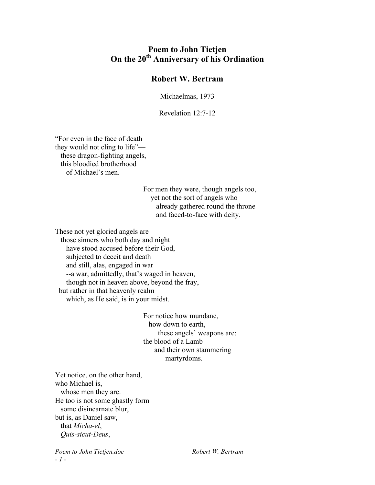## **Poem to John Tietjen On the 20th Anniversary of his Ordination**

## **Robert W. Bertram**

Michaelmas, 1973

Revelation 12:7-12

"For even in the face of death they would not cling to life" these dragon-fighting angels, this bloodied brotherhood of Michael's men.

> For men they were, though angels too, yet not the sort of angels who already gathered round the throne and faced-to-face with deity.

These not yet gloried angels are

 those sinners who both day and night have stood accused before their God, subjected to deceit and death and still, alas, engaged in war --a war, admittedly, that's waged in heaven, though not in heaven above, beyond the fray, but rather in that heavenly realm

which, as He said, is in your midst.

For notice how mundane, how down to earth, these angels' weapons are: the blood of a Lamb and their own stammering martyrdoms.

Yet notice, on the other hand, who Michael is, whose men they are. He too is not some ghastly form some disincarnate blur, but is, as Daniel saw, that *Micha-el*, *Quis-sicut-Deus*,

*Poem to John Tietjen.doc Robert W. Bertram - 1 -*